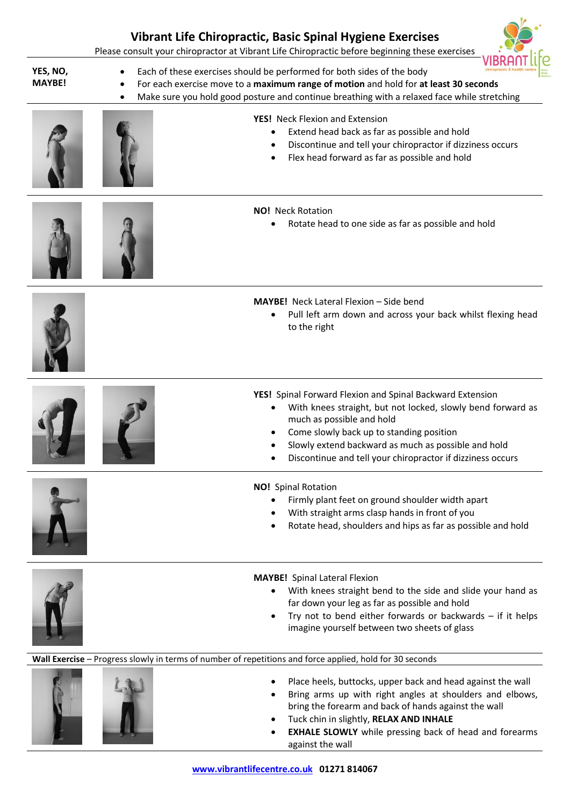|                           | Vibrant Life Chiropractic, Basic Spinal Hygiene Exercises<br>Please consult your chiropractor at Vibrant Life Chiropractic before beginning these exercises                                                                                                                                                            |
|---------------------------|------------------------------------------------------------------------------------------------------------------------------------------------------------------------------------------------------------------------------------------------------------------------------------------------------------------------|
| YES, NO,<br><b>MAYBE!</b> | Each of these exercises should be performed for both sides of the body<br>For each exercise move to a maximum range of motion and hold for at least 30 seconds<br>Make sure you hold good posture and continue breathing with a relaxed face while stretching                                                          |
|                           | <b>YES!</b> Neck Flexion and Extension<br>Extend head back as far as possible and hold<br>Discontinue and tell your chiropractor if dizziness occurs<br>Flex head forward as far as possible and hold                                                                                                                  |
|                           | <b>NO!</b> Neck Rotation<br>Rotate head to one side as far as possible and hold                                                                                                                                                                                                                                        |
|                           | <b>MAYBE!</b> Neck Lateral Flexion - Side bend<br>Pull left arm down and across your back whilst flexing head<br>to the right                                                                                                                                                                                          |
|                           | YES! Spinal Forward Flexion and Spinal Backward Extension<br>With knees straight, but not locked, slowly bend forward as<br>much as possible and hold<br>Come slowly back up to standing position<br>Slowly extend backward as much as possible and hold<br>Discontinue and tell your chiropractor if dizziness occurs |
|                           | <b>NO!</b> Spinal Rotation<br>Firmly plant feet on ground shoulder width apart<br>With straight arms clasp hands in front of you<br>Rotate head, shoulders and hips as far as possible and hold                                                                                                                        |
|                           | <b>MAYBE!</b> Spinal Lateral Flexion<br>With knees straight bend to the side and slide your hand as<br>far down your leg as far as possible and hold<br>Try not to bend either forwards or backwards $-$ if it helps<br>imagine yourself between two sheets of glass                                                   |
|                           | Wall Exercise - Progress slowly in terms of number of repetitions and force applied, hold for 30 seconds                                                                                                                                                                                                               |
|                           | Place heels, buttocks, upper back and head against the wall<br>Bring arms up with right angles at shoulders and elbows,<br>bring the forearm and back of hands against the wall<br>Tuck chin in slightly, RELAX AND INHALE<br><b>EXHALE SLOWLY</b> while pressing back of head and forearms                            |

 $\bullet$ .

**The Company of the Company of the Company** 

against the wall